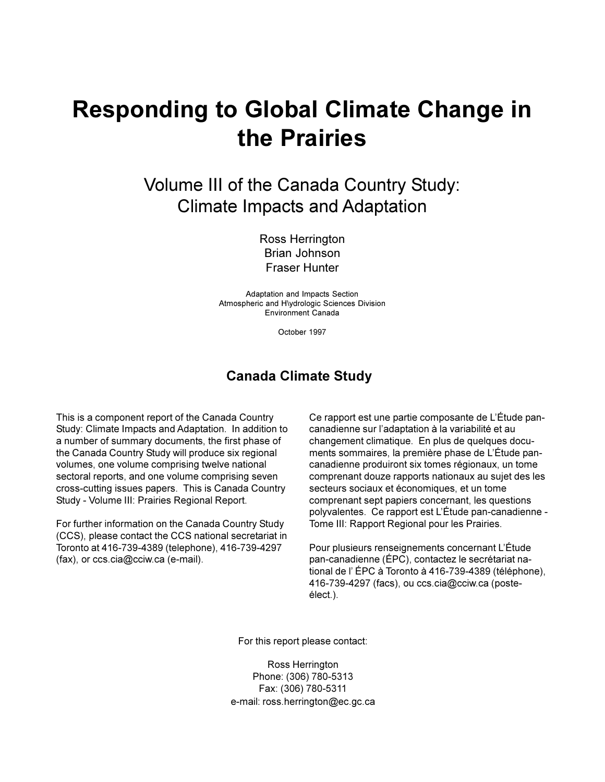# **Responding to Global Climate Change in the Prairies**

Volume III of the Canada Country Study: Climate Impacts and Adaptation

> Ross Herrington Brian Johnson Fraser Hunter

Adaptation and Impacts Section Atmospheric and H\ydrologic Sciences Division Environment Canada

October 1997

# **Canada Climate Study**

This is a component report of the Canada Country Study: Climate Impacts and Adaptation. In addition to a number of summary documents, the first phase of the Canada Country Study will produce six regional volumes, one volume comprising twelve national sectoral reports, and one volume comprising seven cross-cutting issues papers. This is Canada Country Study - Volume III: Prairies Regional Report.

For further information on the Canada Country Study (CCS), please contact the CCS national secretariat in Toronto at 416-739-4389 (telephone), 416-739-4297 (fax), or ccs.cia@cciw.ca (e-mail).

Ce rapport est une partie composante de L'Étude pancanadienne sur l'adaptation à la variabilité et au changement climatique. En plus de quelques documents sommaires, la première phase de L'Étude pancanadienne produiront six tomes régionaux, un tome comprenant douze rapports nationaux au sujet des les secteurs sociaux et économiques, et un tome comprenant sept papiers concernant, les questions polyvalentes. Ce rapport est LÉtude pan-canadienne - Tome III: Rapport Regional pour les Prairies.

Pour plusieurs renseignements concernant L'Étude pan-canadienne (ÉPC), contactez le secrétariat national de l'ÉPC à Toronto à 416-739-4389 (téléphone), 416-739-4297 (facs), ou ccs.cia@cciw.ca (posteélect.).

For this report please contact:

Ross Herrington Phone: (306) 780-5313 Fax: (306) 780-5311 e-mail: ross.herrington@ec.gc.ca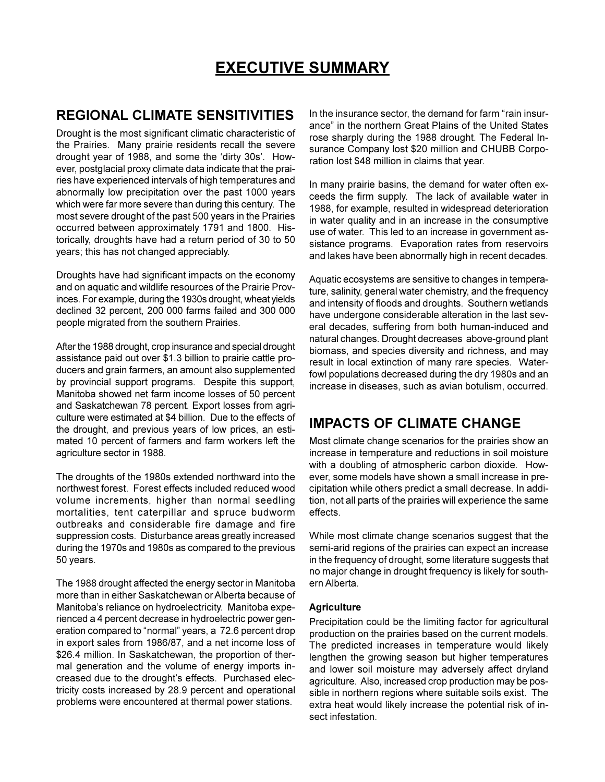# **EXECUTIVE SUMMARY**

# **REGIONAL CLIMATE SENSITIVITIES**

Drought is the most significant climatic characteristic of the Prairies. Many prairie residents recall the severe drought year of 1988, and some the 'dirty 30s'. However, postglacial proxy climate data indicate that the prairies have experienced intervals of high temperatures and abnormally low precipitation over the past 1000 years which were far more severe than during this century. The most severe drought of the past 500 years in the Prairies occurred between approximately 1791 and 1800. Historically, droughts have had a return period of 30 to 50 years; this has not changed appreciably.

Droughts have had significant impacts on the economy and on aquatic and wildlife resources of the Prairie Provinces. For example, during the 1930s drought, wheat yields declined 32 percent, 200 000 farms failed and 300 000 people migrated from the southern Prairies.

After the 1988 drought, crop insurance and special drought assistance paid out over \$1.3 billion to prairie cattle producers and grain farmers, an amount also supplemented by provincial support programs. Despite this support, Manitoba showed net farm income losses of 50 percent and Saskatchewan 78 percent. Export losses from agriculture were estimated at \$4 billion. Due to the effects of the drought, and previous years of low prices, an estimated 10 percent of farmers and farm workers left the agriculture sector in 1988.

The droughts of the 1980s extended northward into the northwest forest. Forest effects included reduced wood volume increments, higher than normal seedling mortalities, tent caterpillar and spruce budworm outbreaks and considerable fire damage and fire suppression costs. Disturbance areas greatly increased during the 1970s and 1980s as compared to the previous 50 years.

The 1988 drought affected the energy sector in Manitoba more than in either Saskatchewan or Alberta because of Manitoba's reliance on hydroelectricity. Manitoba experienced a 4 percent decrease in hydroelectric power generation compared to "normal" years, a 72.6 percent drop in export sales from 1986/87, and a net income loss of \$26.4 million. In Saskatchewan, the proportion of thermal generation and the volume of energy imports increased due to the drought's effects. Purchased electricity costs increased by 28.9 percent and operational problems were encountered at thermal power stations.

In the insurance sector, the demand for farm "rain insurance" in the northern Great Plains of the United States rose sharply during the 1988 drought. The Federal Insurance Company lost \$20 million and CHUBB Corporation lost \$48 million in claims that year.

In many prairie basins, the demand for water often exceeds the firm supply. The lack of available water in 1988, for example, resulted in widespread deterioration in water quality and in an increase in the consumptive use of water. This led to an increase in government assistance programs. Evaporation rates from reservoirs and lakes have been abnormally high in recent decades.

Aquatic ecosystems are sensitive to changes in temperature, salinity, general water chemistry, and the frequency and intensity of floods and droughts. Southern wetlands have undergone considerable alteration in the last several decades, suffering from both human-induced and natural changes. Drought decreases above-ground plant biomass, and species diversity and richness, and may result in local extinction of many rare species. Waterfowl populations decreased during the dry 1980s and an increase in diseases, such as avian botulism, occurred.

# **IMPACTS OF CLIMATE CHANGE**

Most climate change scenarios for the prairies show an increase in temperature and reductions in soil moisture with a doubling of atmospheric carbon dioxide. However, some models have shown a small increase in precipitation while others predict a small decrease. In addition, not all parts of the prairies will experience the same effects.

While most climate change scenarios suggest that the semi-arid regions of the prairies can expect an increase in the frequency of drought, some literature suggests that no major change in drought frequency is likely for southern Alberta.

#### **Agriculture**

Precipitation could be the limiting factor for agricultural production on the prairies based on the current models. The predicted increases in temperature would likely lengthen the growing season but higher temperatures and lower soil moisture may adversely affect dryland agriculture. Also, increased crop production may be possible in northern regions where suitable soils exist. The extra heat would likely increase the potential risk of insect infestation.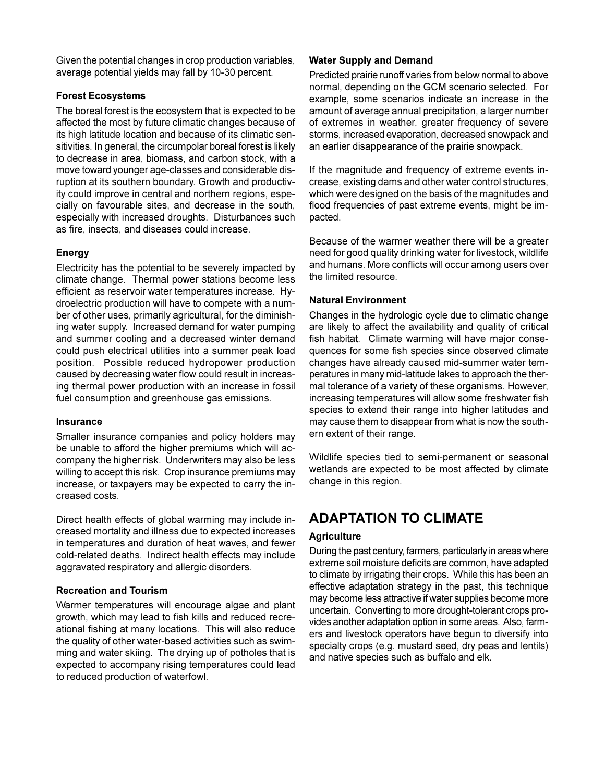Given the potential changes in crop production variables, average potential yields may fall by 10-30 percent.

# **Forest Ecosystems**

The boreal forest is the ecosystem that is expected to be affected the most by future climatic changes because of its high latitude location and because of its climatic sensitivities. In general, the circumpolar boreal forest is likely to decrease in area, biomass, and carbon stock, with a move toward younger age-classes and considerable disruption at its southern boundary. Growth and productivity could improve in central and northern regions, especially on favourable sites, and decrease in the south, especially with increased droughts. Disturbances such as fire, insects, and diseases could increase.

# **Energy**

Electricity has the potential to be severely impacted by climate change. Thermal power stations become less efficient as reservoir water temperatures increase. Hydroelectric production will have to compete with a number of other uses, primarily agricultural, for the diminishing water supply. Increased demand for water pumping and summer cooling and a decreased winter demand could push electrical utilities into a summer peak load position. Possible reduced hydropower production caused by decreasing water flow could result in increasing thermal power production with an increase in fossil fuel consumption and greenhouse gas emissions.

# **Insurance**

Smaller insurance companies and policy holders may be unable to afford the higher premiums which will accompany the higher risk. Underwriters may also be less willing to accept this risk. Crop insurance premiums may increase, or taxpayers may be expected to carry the increased costs.

Direct health effects of global warming may include increased mortality and illness due to expected increases in temperatures and duration of heat waves, and fewer cold-related deaths. Indirect health effects may include aggravated respiratory and allergic disorders.

# **Recreation and Tourism**

Warmer temperatures will encourage algae and plant growth, which may lead to fish kills and reduced recreational fishing at many locations. This will also reduce the quality of other water-based activities such as swimming and water skiing. The drying up of potholes that is expected to accompany rising temperatures could lead to reduced production of waterfowl.

# **Water Supply and Demand**

Predicted prairie runoff varies from below normal to above normal, depending on the GCM scenario selected. For example, some scenarios indicate an increase in the amount of average annual precipitation, a larger number of extremes in weather, greater frequency of severe storms, increased evaporation, decreased snowpack and an earlier disappearance of the prairie snowpack.

If the magnitude and frequency of extreme events increase, existing dams and other water control structures, which were designed on the basis of the magnitudes and flood frequencies of past extreme events, might be impacted.

Because of the warmer weather there will be a greater need for good quality drinking water for livestock, wildlife and humans. More conflicts will occur among users over the limited resource.

# **Natural Environment**

Changes in the hydrologic cycle due to climatic change are likely to affect the availability and quality of critical fish habitat. Climate warming will have major consequences for some fish species since observed climate changes have already caused mid-summer water temperatures in many mid-latitude lakes to approach the thermal tolerance of a variety of these organisms. However, increasing temperatures will allow some freshwater fish species to extend their range into higher latitudes and may cause them to disappear from what is now the southern extent of their range.

Wildlife species tied to semi-permanent or seasonal wetlands are expected to be most affected by climate change in this region.

# **ADAPTATION TO CLIMATE**

# **Agriculture**

During the past century, farmers, particularly in areas where extreme soil moisture deficits are common, have adapted to climate by irrigating their crops. While this has been an effective adaptation strategy in the past, this technique may become less attractive if water supplies become more uncertain. Converting to more drought-tolerant crops provides another adaptation option in some areas. Also, farmers and livestock operators have begun to diversify into specialty crops (e.g. mustard seed, dry peas and lentils) and native species such as buffalo and elk.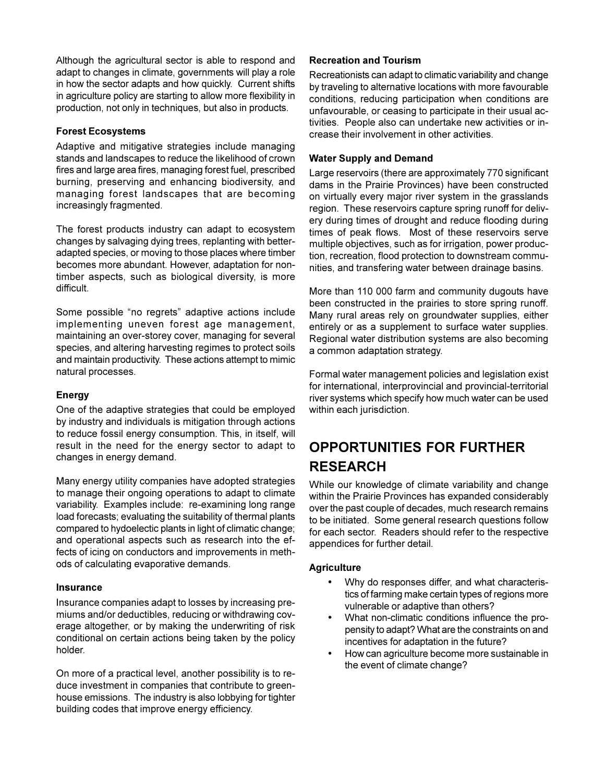Although the agricultural sector is able to respond and adapt to changes in climate, governments will play a role in how the sector adapts and how quickly. Current shifts in agriculture policy are starting to allow more flexibility in production, not only in techniques, but also in products.

### **Forest Ecosystems**

Adaptive and mitigative strategies include managing stands and landscapes to reduce the likelihood of crown fires and large area fires, managing forest fuel, prescribed burning, preserving and enhancing biodiversity, and managing forest landscapes that are becoming increasingly fragmented.

The forest products industry can adapt to ecosystem changes by salvaging dying trees, replanting with betteradapted species, or moving to those places where timber becomes more abundant. However, adaptation for nontimber aspects, such as biological diversity, is more difficult.

Some possible "no regrets" adaptive actions include implementing uneven forest age management, maintaining an over-storey cover, managing for several species, and altering harvesting regimes to protect soils and maintain productivity. These actions attempt to mimic natural processes.

# **Energy**

One of the adaptive strategies that could be employed by industry and individuals is mitigation through actions to reduce fossil energy consumption. This, in itself, will result in the need for the energy sector to adapt to changes in energy demand.

Many energy utility companies have adopted strategies to manage their ongoing operations to adapt to climate variability. Examples include: re-examining long range load forecasts; evaluating the suitability of thermal plants compared to hydoelectic plants in light of climatic change; and operational aspects such as research into the effects of icing on conductors and improvements in methods of calculating evaporative demands.

#### **Insurance**

Insurance companies adapt to losses by increasing premiums and/or deductibles, reducing or withdrawing coverage altogether, or by making the underwriting of risk conditional on certain actions being taken by the policy holder.

On more of a practical level, another possibility is to reduce investment in companies that contribute to greenhouse emissions. The industry is also lobbying for tighter building codes that improve energy efficiency.

# **Recreation and Tourism**

Recreationists can adapt to climatic variability and change by traveling to alternative locations with more favourable conditions, reducing participation when conditions are unfavourable, or ceasing to participate in their usual activities. People also can undertake new activities or increase their involvement in other activities.

### **Water Supply and Demand**

Large reservoirs (there are approximately 770 significant dams in the Prairie Provinces) have been constructed on virtually every major river system in the grasslands region. These reservoirs capture spring runoff for delivery during times of drought and reduce flooding during times of peak flows. Most of these reservoirs serve multiple objectives, such as for irrigation, power production, recreation, flood protection to downstream communities, and transfering water between drainage basins.

More than 110 000 farm and community dugouts have been constructed in the prairies to store spring runoff. Many rural areas rely on groundwater supplies, either entirely or as a supplement to surface water supplies. Regional water distribution systems are also becoming a common adaptation strategy.

Formal water management policies and legislation exist for international, interprovincial and provincial-territorial river systems which specify how much water can be used within each jurisdiction.

# **OPPORTUNITIES FOR FURTHER RESEARCH**

While our knowledge of climate variability and change within the Prairie Provinces has expanded considerably over the past couple of decades, much research remains to be initiated. Some general research questions follow for each sector. Readers should refer to the respective appendices for further detail.

# **Agriculture**

- Why do responses differ, and what characteristics of farming make certain types of regions more vulnerable or adaptive than others?
- What non-climatic conditions influence the propensity to adapt? What are the constraints on and incentives for adaptation in the future?
- How can agriculture become more sustainable in the event of climate change?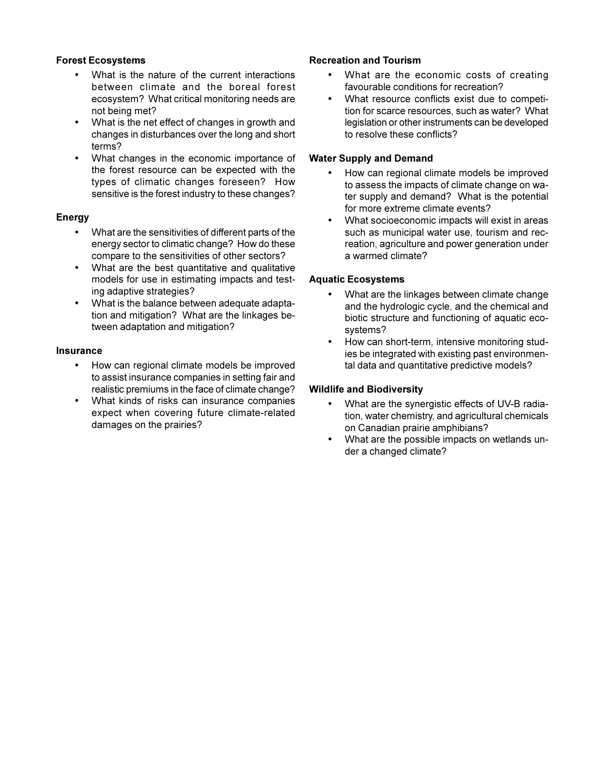# **Forest Ecosystems**

- What is the nature of the current interactions between climate and the boreal forest ecosystem? What critical monitoring needs are not being met?
- What is the net effect of changes in growth and changes in disturbances over the long and short terms?
- What changes in the economic importance of the forest resource can be expected with the types of climatic changes foreseen? How sensitive is the forest industry to these changes?

### **Energy**

- What are the sensitivities of different parts of the energy sector to climatic change? How do these compare to the sensitivities of other sectors?
- What are the best quantitative and qualitative models for use in estimating impacts and testing adaptive strategies?
- What is the balance between adequate adaptation and mitigation? What are the linkages between adaptation and mitigation?

#### **Insurance**

- How can regional climate models be improved to assist insurance companies in setting fair and realistic premiums in the face of climate change?
- What kinds of risks can insurance companies expect when covering future climate-related damages on the prairies?

# **Recreation and Tourism**

- What are the economic costs of creating favourable conditions for recreation?
- What resource conflicts exist due to competition for scarce resources, such as water? What legislation or other instruments can be developed to resolve these conflicts?

### **Water Supply and Demand**

- How can regional climate models be improved to assess the impacts of climate change on water supply and demand? What is the potential for more extreme climate events?
- What socioeconomic impacts will exist in areas such as municipal water use, tourism and recreation, agriculture and power generation under a warmed climate?

### **Aquatic Ecosystems**

- What are the linkages between climate change and the hydrologic cycle, and the chemical and biotic structure and functioning of aquatic ecosystems?
- How can short-term, intensive monitoring studies be integrated with existing past environmental data and quantitative predictive models?

### **Wildlife and Biodiversity**

- What are the synergistic effects of UV-B radiation, water chemistry, and agricultural chemicals on Canadian prairie amphibians?
- What are the possible impacts on wetlands under a changed climate?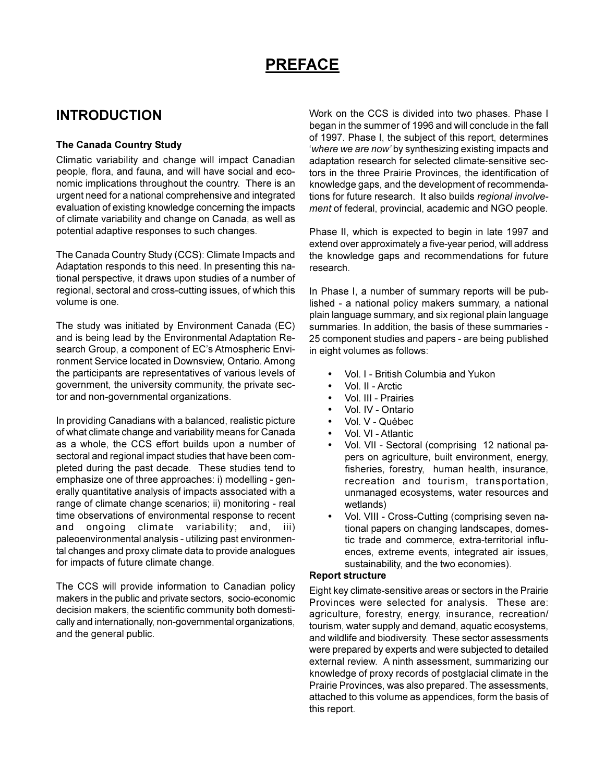# **PREFACE**

# **INTRODUCTION**

# **The Canada Country Study**

Climatic variability and change will impact Canadian people, flora, and fauna, and will have social and economic implications throughout the country. There is an urgent need for a national comprehensive and integrated evaluation of existing knowledge concerning the impacts of climate variability and change on Canada, as well as potential adaptive responses to such changes.

The Canada Country Study (CCS): Climate Impacts and Adaptation responds to this need. In presenting this national perspective, it draws upon studies of a number of regional, sectoral and cross-cutting issues, of which this volume is one.

The study was initiated by Environment Canada (EC) and is being lead by the Environmental Adaptation Research Group, a component of EC's Atmospheric Environment Service located in Downsview, Ontario. Among the participants are representatives of various levels of government, the university community, the private sector and non-governmental organizations.

In providing Canadians with a balanced, realistic picture of what climate change and variability means for Canada as a whole, the CCS effort builds upon a number of sectoral and regional impact studies that have been completed during the past decade. These studies tend to emphasize one of three approaches: i) modelling - generally quantitative analysis of impacts associated with a range of climate change scenarios; ii) monitoring - real time observations of environmental response to recent and ongoing climate variability; and, iii) paleoenvironmental analysis - utilizing past environmental changes and proxy climate data to provide analogues for impacts of future climate change.

The CCS will provide information to Canadian policy makers in the public and private sectors, socio-economic decision makers, the scientific community both domestically and internationally, non-governmental organizations, and the general public.

Work on the CCS is divided into two phases. Phase I began in the summer of 1996 and will conclude in the fall of 1997. Phase I, the subject of this report, determines *where we are now* by synthesizing existing impacts and adaptation research for selected climate-sensitive sectors in the three Prairie Provinces, the identification of knowledge gaps, and the development of recommendations for future research. It also builds *regional involvement* of federal, provincial, academic and NGO people.

Phase II, which is expected to begin in late 1997 and extend over approximately a five-year period, will address the knowledge gaps and recommendations for future research.

In Phase I, a number of summary reports will be published - a national policy makers summary, a national plain language summary, and six regional plain language summaries. In addition, the basis of these summaries - 25 component studies and papers - are being published in eight volumes as follows:

- Vol. I British Columbia and Yukon
- Vol. II Arctic
- Vol. III Prairies
- Vol. IV Ontario
- Vol. V Québec
- Vol. VI Atlantic
- Vol. VII Sectoral (comprising 12 national papers on agriculture, built environment, energy, fisheries, forestry, human health, insurance, recreation and tourism, transportation, unmanaged ecosystems, water resources and wetlands)
- Vol. VIII Cross-Cutting (comprising seven national papers on changing landscapes, domestic trade and commerce, extra-territorial influences, extreme events, integrated air issues, sustainability, and the two economies).

#### **Report structure**

Eight key climate-sensitive areas or sectors in the Prairie Provinces were selected for analysis. These are: agriculture, forestry, energy, insurance, recreation/ tourism, water supply and demand, aquatic ecosystems, and wildlife and biodiversity. These sector assessments were prepared by experts and were subjected to detailed external review. A ninth assessment, summarizing our knowledge of proxy records of postglacial climate in the Prairie Provinces, was also prepared. The assessments, attached to this volume as appendices, form the basis of this report.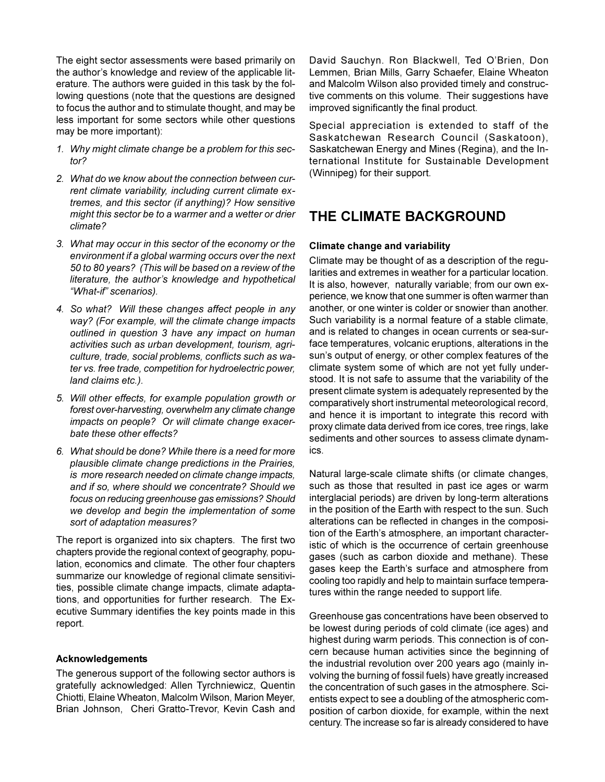The eight sector assessments were based primarily on the author's knowledge and review of the applicable literature. The authors were guided in this task by the following questions (note that the questions are designed to focus the author and to stimulate thought, and may be less important for some sectors while other questions may be more important):

- *1. Why might climate change be a problem for this sector?*
- *2. What do we know about the connection between current climate variability, including current climate extremes, and this sector (if anything)? How sensitive might this sector be to a warmer and a wetter or drier climate?*
- *3. What may occur in this sector of the economy or the environment if a global warming occurs over the next 50 to 80 years? (This will be based on a review of the* literature, the author's knowledge and hypothetical *What-if scenarios).*
- *4. So what? Will these changes affect people in any way? (For example, will the climate change impacts outlined in question 3 have any impact on human activities such as urban development, tourism, agriculture, trade, social problems, conflicts such as water vs. free trade, competition for hydroelectric power, land claims etc.).*
- *5. Will other effects, for example population growth or forest over-harvesting, overwhelm any climate change impacts on people? Or will climate change exacerbate these other effects?*
- *6. What should be done? While there is a need for more plausible climate change predictions in the Prairies, is more research needed on climate change impacts, and if so, where should we concentrate? Should we focus on reducing greenhouse gas emissions? Should we develop and begin the implementation of some sort of adaptation measures?*

The report is organized into six chapters. The first two chapters provide the regional context of geography, population, economics and climate. The other four chapters summarize our knowledge of regional climate sensitivities, possible climate change impacts, climate adaptations, and opportunities for further research. The Executive Summary identifies the key points made in this report.

#### **Acknowledgements**

The generous support of the following sector authors is gratefully acknowledged: Allen Tyrchniewicz, Quentin Chiotti, Elaine Wheaton, Malcolm Wilson, Marion Meyer, Brian Johnson, Cheri Gratto-Trevor, Kevin Cash and David Sauchyn. Ron Blackwell, Ted O'Brien, Don Lemmen, Brian Mills, Garry Schaefer, Elaine Wheaton and Malcolm Wilson also provided timely and constructive comments on this volume. Their suggestions have improved significantly the final product.

Special appreciation is extended to staff of the Saskatchewan Research Council (Saskatoon), Saskatchewan Energy and Mines (Regina), and the International Institute for Sustainable Development (Winnipeg) for their support.

# **THE CLIMATE BACKGROUND**

#### **Climate change and variability**

Climate may be thought of as a description of the regularities and extremes in weather for a particular location. It is also, however, naturally variable; from our own experience, we know that one summer is often warmer than another, or one winter is colder or snowier than another. Such variability is a normal feature of a stable climate, and is related to changes in ocean currents or sea-surface temperatures, volcanic eruptions, alterations in the sun's output of energy, or other complex features of the climate system some of which are not yet fully understood. It is not safe to assume that the variability of the present climate system is adequately represented by the comparatively short instrumental meteorological record, and hence it is important to integrate this record with proxy climate data derived from ice cores, tree rings, lake sediments and other sources to assess climate dynamics.

Natural large-scale climate shifts (or climate changes, such as those that resulted in past ice ages or warm interglacial periods) are driven by long-term alterations in the position of the Earth with respect to the sun. Such alterations can be reflected in changes in the composition of the Earth's atmosphere, an important characteristic of which is the occurrence of certain greenhouse gases (such as carbon dioxide and methane). These gases keep the Earth's surface and atmosphere from cooling too rapidly and help to maintain surface temperatures within the range needed to support life.

Greenhouse gas concentrations have been observed to be lowest during periods of cold climate (ice ages) and highest during warm periods. This connection is of concern because human activities since the beginning of the industrial revolution over 200 years ago (mainly involving the burning of fossil fuels) have greatly increased the concentration of such gases in the atmosphere. Scientists expect to see a doubling of the atmospheric composition of carbon dioxide, for example, within the next century. The increase so far is already considered to have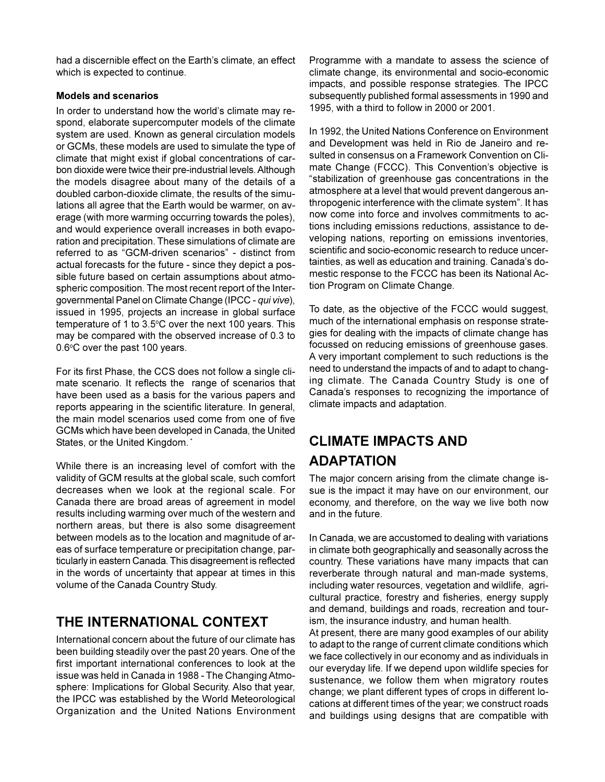had a discernible effect on the Earth's climate, an effect which is expected to continue.

### **Models and scenarios**

In order to understand how the world's climate may respond, elaborate supercomputer models of the climate system are used. Known as general circulation models or GCMs, these models are used to simulate the type of climate that might exist if global concentrations of carbon dioxide were twice their pre-industrial levels. Although the models disagree about many of the details of a doubled carbon-dioxide climate, the results of the simulations all agree that the Earth would be warmer, on average (with more warming occurring towards the poles), and would experience overall increases in both evaporation and precipitation. These simulations of climate are referred to as "GCM-driven scenarios" - distinct from actual forecasts for the future - since they depict a possible future based on certain assumptions about atmospheric composition. The most recent report of the Intergovernmental Panel on Climate Change (IPCC - *qui vive*), issued in 1995, projects an increase in global surface temperature of 1 to 3.5°C over the next 100 years. This may be compared with the observed increase of 0.3 to 0.6°C over the past 100 years.

For its first Phase, the CCS does not follow a single climate scenario. It reflects the range of scenarios that have been used as a basis for the various papers and reports appearing in the scientific literature. In general, the main model scenarios used come from one of five GCMs which have been developed in Canada, the United States, or the United Kingdom.<sup>\*</sup>

While there is an increasing level of comfort with the validity of GCM results at the global scale, such comfort decreases when we look at the regional scale. For Canada there are broad areas of agreement in model results including warming over much of the western and northern areas, but there is also some disagreement between models as to the location and magnitude of areas of surface temperature or precipitation change, particularly in eastern Canada. This disagreement is reflected in the words of uncertainty that appear at times in this volume of the Canada Country Study.

# **THE INTERNATIONAL CONTEXT**

International concern about the future of our climate has been building steadily over the past 20 years. One of the first important international conferences to look at the issue was held in Canada in 1988 - The Changing Atmosphere: Implications for Global Security. Also that year, the IPCC was established by the World Meteorological Organization and the United Nations Environment Programme with a mandate to assess the science of climate change, its environmental and socio-economic impacts, and possible response strategies. The IPCC subsequently published formal assessments in 1990 and 1995, with a third to follow in 2000 or 2001.

In 1992, the United Nations Conference on Environment and Development was held in Rio de Janeiro and resulted in consensus on a Framework Convention on Climate Change (FCCC). This Convention's objective is stabilization of greenhouse gas concentrations in the atmosphere at a level that would prevent dangerous anthropogenic interference with the climate system". It has now come into force and involves commitments to actions including emissions reductions, assistance to developing nations, reporting on emissions inventories, scientific and socio-economic research to reduce uncertainties, as well as education and training. Canada's domestic response to the FCCC has been its National Action Program on Climate Change.

To date, as the objective of the FCCC would suggest, much of the international emphasis on response strategies for dealing with the impacts of climate change has focussed on reducing emissions of greenhouse gases. A very important complement to such reductions is the need to understand the impacts of and to adapt to changing climate. The Canada Country Study is one of Canada's responses to recognizing the importance of climate impacts and adaptation.

# **CLIMATE IMPACTS AND ADAPTATION**

The major concern arising from the climate change issue is the impact it may have on our environment, our economy, and therefore, on the way we live both now and in the future.

In Canada, we are accustomed to dealing with variations in climate both geographically and seasonally across the country. These variations have many impacts that can reverberate through natural and man-made systems, including water resources, vegetation and wildlife, agricultural practice, forestry and fisheries, energy supply and demand, buildings and roads, recreation and tourism, the insurance industry, and human health.

At present, there are many good examples of our ability to adapt to the range of current climate conditions which we face collectively in our economy and as individuals in our everyday life. If we depend upon wildlife species for sustenance, we follow them when migratory routes change; we plant different types of crops in different locations at different times of the year; we construct roads and buildings using designs that are compatible with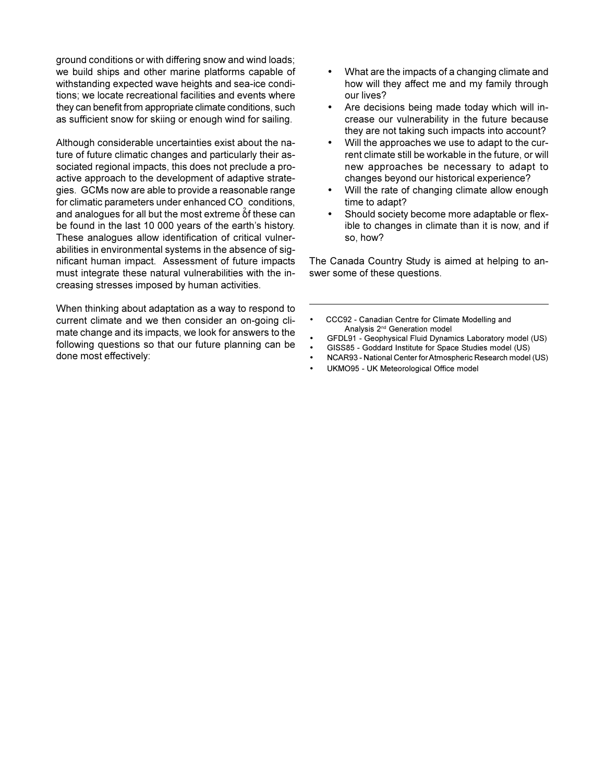ground conditions or with differing snow and wind loads; we build ships and other marine platforms capable of withstanding expected wave heights and sea-ice conditions; we locate recreational facilities and events where they can benefit from appropriate climate conditions, such as sufficient snow for skiing or enough wind for sailing.

Although considerable uncertainties exist about the nature of future climatic changes and particularly their associated regional impacts, this does not preclude a proactive approach to the development of adaptive strategies. GCMs now are able to provide a reasonable range for climatic parameters under enhanced  $CO<sub>2</sub>$  conditions, and analogues for all but the most extreme of these can be found in the last 10 000 years of the earth's history. These analogues allow identification of critical vulnerabilities in environmental systems in the absence of significant human impact. Assessment of future impacts must integrate these natural vulnerabilities with the increasing stresses imposed by human activities.

When thinking about adaptation as a way to respond to current climate and we then consider an on-going climate change and its impacts, we look for answers to the following questions so that our future planning can be done most effectively:

- What are the impacts of a changing climate and how will they affect me and my family through our lives?
- Are decisions being made today which will increase our vulnerability in the future because they are not taking such impacts into account?
- Will the approaches we use to adapt to the current climate still be workable in the future, or will new approaches be necessary to adapt to changes beyond our historical experience?
- Will the rate of changing climate allow enough time to adapt?
- Should society become more adaptable or flexible to changes in climate than it is now, and if so, how?

The Canada Country Study is aimed at helping to answer some of these questions.

- CCC92 Canadian Centre for Climate Modelling and Analysis 2nd Generation model
- GFDL91 Geophysical Fluid Dynamics Laboratory model (US)
- GISS85 Goddard Institute for Space Studies model (US)
- NCAR93 National Center for Atmospheric Research model (US)
- UKMO95 UK Meteorological Office model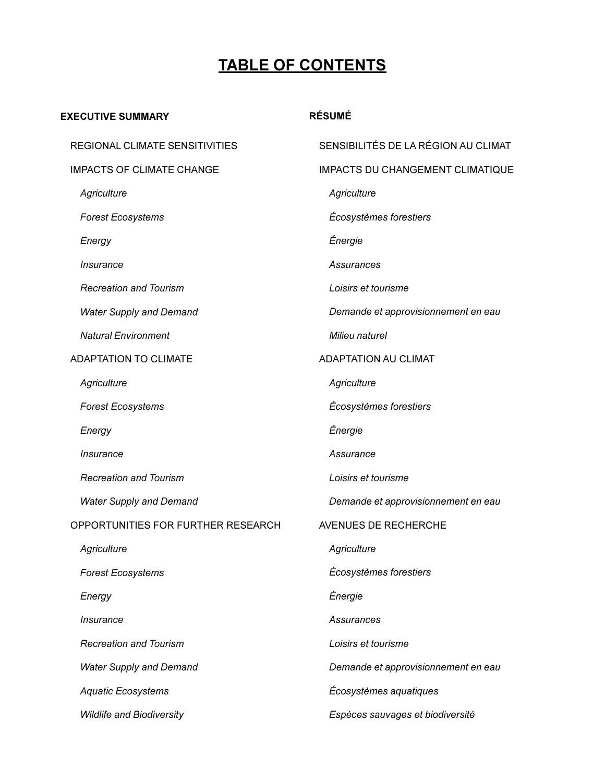# **TABLE OF CONTENTS**

# **EXECUTIVE SUMMARY**

# **RÉSUMÉ**

| REGIONAL CLIMATE SENSITIVITIES     | SENSIBILITÉS DE LA RÉGION AU CLIMAT |
|------------------------------------|-------------------------------------|
| <b>IMPACTS OF CLIMATE CHANGE</b>   | IMPACTS DU CHANGEMENT CLIMATIQUE    |
| Agriculture                        | Agriculture                         |
| <b>Forest Ecosystems</b>           | Écosystèmes forestiers              |
| Energy                             | Énergie                             |
| Insurance                          | Assurances                          |
| <b>Recreation and Tourism</b>      | Loisirs et tourisme                 |
| <b>Water Supply and Demand</b>     | Demande et approvisionnement en eau |
| <b>Natural Environment</b>         | Milieu naturel                      |
| <b>ADAPTATION TO CLIMATE</b>       | <b>ADAPTATION AU CLIMAT</b>         |
| Agriculture                        | Agriculture                         |
| <b>Forest Ecosystems</b>           | Écosystèmes forestiers              |
| Energy                             | Énergie                             |
| Insurance                          | Assurance                           |
| <b>Recreation and Tourism</b>      | Loisirs et tourisme                 |
| <b>Water Supply and Demand</b>     | Demande et approvisionnement en eau |
| OPPORTUNITIES FOR FURTHER RESEARCH | AVENUES DE RECHERCHE                |
| Agriculture                        | Agriculture                         |
| <b>Forest Ecosystems</b>           | Écosystèmes forestiers              |
| Energy                             | Énergie                             |
| Insurance                          | Assurances                          |
| <b>Recreation and Tourism</b>      | Loisirs et tourisme                 |
| <b>Water Supply and Demand</b>     | Demande et approvisionnement en eau |
| <b>Aquatic Ecosystems</b>          | Écosystèmes aquatiques              |
| <b>Wildlife and Biodiversity</b>   | Espèces sauvages et biodiversité    |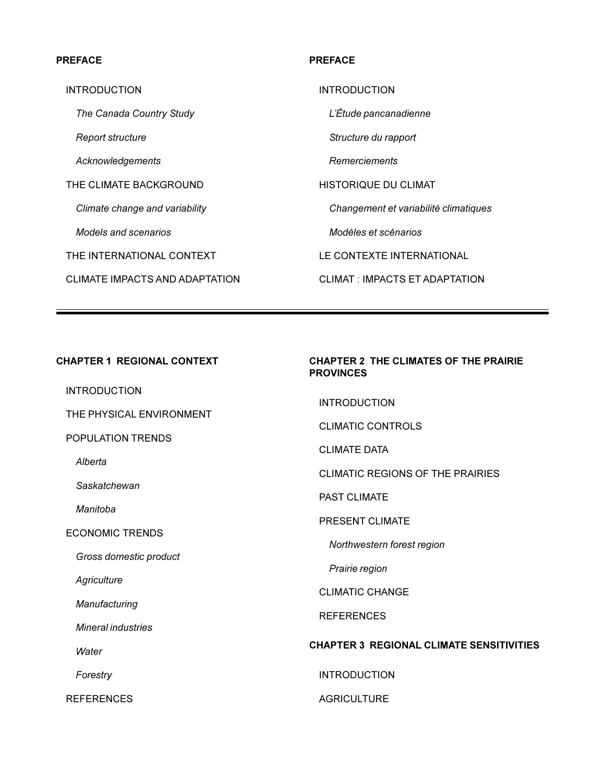### **PREFACE**

INTRODUCTION

*The Canada Country Study*

*Report structure*

*Acknowledgements*

THE CLIMATE BACKGROUND

*Climate change and variability*

*Models and scenarios*

THE INTERNATIONAL CONTEXT

CLIMATE IMPACTS AND ADAPTATION

#### **PREFACE**

INTRODUCTION

*LÉtude pancanadienne*

*Structure du rapport*

*Remerciements*

HISTORIQUE DU CLIMAT

*Changement et variabilité climatiques*

*Modèles et scénarios*

LE CONTEXTE INTERNATIONAL

CLIMAT : IMPACTS ET ADAPTATION

### **CHAPTER 1 REGIONAL CONTEXT**

INTRODUCTION

THE PHYSICAL ENVIRONMENT

POPULATION TRENDS

*Alberta*

*Saskatchewan*

*Manitoba*

ECONOMIC TRENDS

*Gross domestic product*

*Agriculture*

*Manufacturing*

*Mineral industries*

*Water*

*Forestry*

REFERENCES

# **CHAPTER 2 THE CLIMATES OF THE PRAIRIE PROVINCES**

INTRODUCTION

CLIMATIC CONTROLS

CLIMATE DATA

CLIMATIC REGIONS OF THE PRAIRIES

PAST CLIMATE

PRESENT CLIMATE

*Northwestern forest region*

*Prairie region*

CLIMATIC CHANGE

REFERENCES

### **CHAPTER 3 REGIONAL CLIMATE SENSITIVITIES**

INTRODUCTION

#### **AGRICULTURE**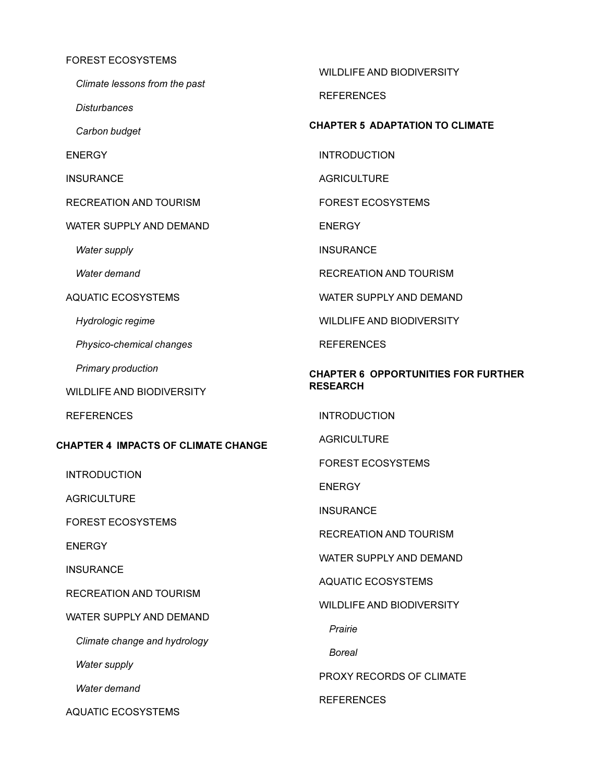#### FOREST ECOSYSTEMS

*Climate lessons from the past*

*Disturbances*

*Carbon budget*

ENERGY

INSURANCE

RECREATION AND TOURISM

WATER SUPPLY AND DEMAND

*Water supply*

*Water demand*

AQUATIC ECOSYSTEMS

*Hydrologic regime*

*Physico-chemical changes*

*Primary production*

WILDLIFE AND BIODIVERSITY

REFERENCES

### **CHAPTER 4 IMPACTS OF CLIMATE CHANGE**

INTRODUCTION

**AGRICULTURE** 

FOREST ECOSYSTEMS

**ENERGY** 

**INSURANCE** 

RECREATION AND TOURISM

WATER SUPPLY AND DEMAND

*Climate change and hydrology*

*Water supply*

*Water demand*

AQUATIC ECOSYSTEMS

WILDLIFE AND BIODIVERSITY

REFERENCES

# **CHAPTER 5 ADAPTATION TO CLIMATE**

INTRODUCTION

**AGRICULTURE** 

FOREST ECOSYSTEMS

ENERGY

**INSURANCE** 

RECREATION AND TOURISM

WATER SUPPLY AND DEMAND

WILDLIFE AND BIODIVERSITY

REFERENCES

# **CHAPTER 6 OPPORTUNITIES FOR FURTHER RESEARCH**

INTRODUCTION

**AGRICULTURE** 

FOREST ECOSYSTEMS

**ENERGY** 

**INSURANCE** 

RECREATION AND TOURISM

WATER SUPPLY AND DEMAND

AQUATIC ECOSYSTEMS

WILDLIFE AND BIODIVERSITY

*Prairie*

*Boreal*

PROXY RECORDS OF CLIMATE

REFERENCES